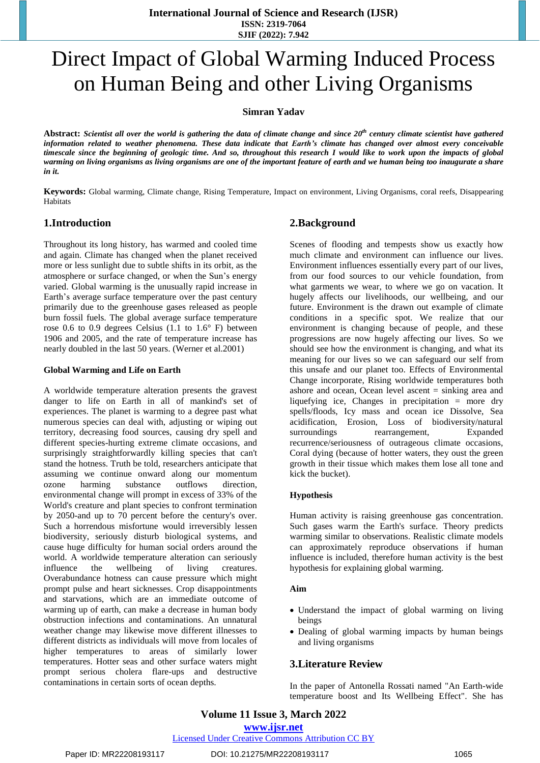# Direct Impact of Global Warming Induced Process on Human Being and other Living Organisms

**Simran Yadav**

Abstract: Scientist all over the world is gathering the data of climate change and since 20<sup>th</sup> century climate scientist have gathered information related to weather phenomena. These data indicate that Earth's climate has changed over almost every conceivable timescale since the beginning of geologic time. And so, throughout this research I would like to work upon the impacts of global warming on living organisms as living organisms are one of the important feature of earth and we human being too inaugurate a share *in it.*

**Keywords:** Global warming, Climate change, Rising Temperature, Impact on environment, Living Organisms, coral reefs, Disappearing Habitats

## **1.Introduction**

Throughout its long history, has warmed and cooled time and again. Climate has changed when the planet received more or less sunlight due to subtle shifts in its orbit, as the atmosphere or surface changed, or when the Sun's energy varied. Global warming is the unusually rapid increase in Earth's average surface temperature over the past century primarily due to the greenhouse gases released as people burn fossil fuels. The global average surface temperature rose 0.6 to 0.9 degrees Celsius (1.1 to 1.6° F) between 1906 and 2005, and the rate of temperature increase has nearly doubled in the last 50 years. (Werner et al.2001)

#### **Global Warming and Life on Earth**

A worldwide temperature alteration presents the gravest danger to life on Earth in all of mankind's set of experiences. The planet is warming to a degree past what numerous species can deal with, adjusting or wiping out territory, decreasing food sources, causing dry spell and different species-hurting extreme climate occasions, and surprisingly straightforwardly killing species that can't stand the hotness. Truth be told, researchers anticipate that assuming we continue onward along our momentum ozone harming substance outflows direction, environmental change will prompt in excess of 33% of the World's creature and plant species to confront termination by 2050-and up to 70 percent before the century's over. Such a horrendous misfortune would irreversibly lessen biodiversity, seriously disturb biological systems, and cause huge difficulty for human social orders around the world. A worldwide temperature alteration can seriously influence the wellbeing of living creatures. Overabundance hotness can cause pressure which might prompt pulse and heart sicknesses. Crop disappointments and starvations, which are an immediate outcome of warming up of earth, can make a decrease in human body obstruction infections and contaminations. An unnatural weather change may likewise move different illnesses to different districts as individuals will move from locales of higher temperatures to areas of similarly lower temperatures. Hotter seas and other surface waters might prompt serious cholera flare-ups and destructive contaminations in certain sorts of ocean depths.

# **2.Background**

Scenes of flooding and tempests show us exactly how much climate and environment can influence our lives. Environment influences essentially every part of our lives, from our food sources to our vehicle foundation, from what garments we wear, to where we go on vacation. It hugely affects our livelihoods, our wellbeing, and our future. Environment is the drawn out example of climate conditions in a specific spot. We realize that our environment is changing because of people, and these progressions are now hugely affecting our lives. So we should see how the environment is changing, and what its meaning for our lives so we can safeguard our self from this unsafe and our planet too. Effects of Environmental Change incorporate, Rising worldwide temperatures both ashore and ocean, Ocean level ascent = sinking area and liquefying ice, Changes in precipitation = more dry spells/floods, Icy mass and ocean ice Dissolve, Sea acidification, Erosion, Loss of biodiversity/natural surroundings rearrangement, Expanded recurrence/seriousness of outrageous climate occasions, Coral dying (because of hotter waters, they oust the green growth in their tissue which makes them lose all tone and kick the bucket).

#### **Hypothesis**

Human activity is raising greenhouse gas concentration. Such gases warm the Earth's surface. Theory predicts warming similar to observations. Realistic climate models can approximately reproduce observations if human influence is included, therefore human activity is the best hypothesis for explaining global warming.

#### **Aim**

- Understand the impact of global warming on living beings
- Dealing of global warming impacts by human beings and living organisms

## **3.Literature Review**

In the paper of Antonella Rossati named "An Earth-wide temperature boost and Its Wellbeing Effect". She has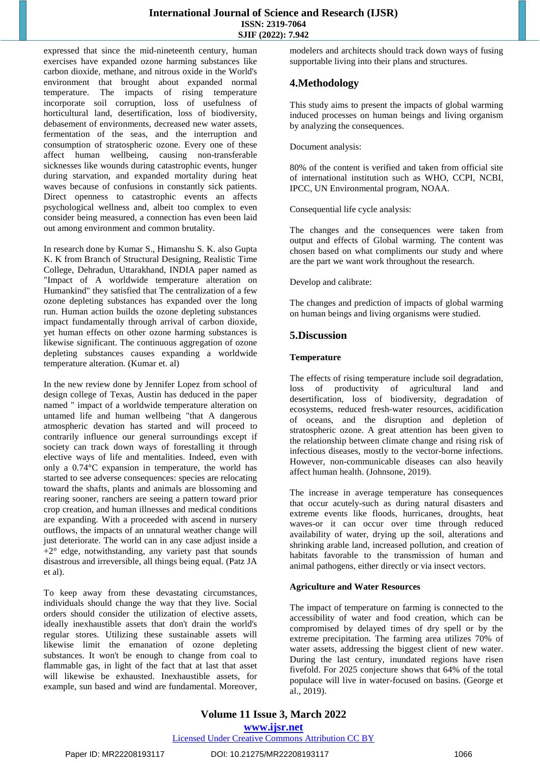expressed that since the mid-nineteenth century, human exercises have expanded ozone harming substances like carbon dioxide, methane, and nitrous oxide in the World's environment that brought about expanded normal temperature. The impacts of rising temperature incorporate soil corruption, loss of usefulness of horticultural land, desertification, loss of biodiversity, debasement of environments, decreased new water assets, fermentation of the seas, and the interruption and consumption of stratospheric ozone. Every one of these affect human wellbeing, causing non-transferable sicknesses like wounds during catastrophic events, hunger during starvation, and expanded mortality during heat waves because of confusions in constantly sick patients. Direct openness to catastrophic events an affects psychological wellness and, albeit too complex to even consider being measured, a connection has even been laid out among environment and common brutality.

In research done by Kumar S., Himanshu S. K. also Gupta K. K from Branch of Structural Designing, Realistic Time College, Dehradun, Uttarakhand, INDIA paper named as "Impact of A worldwide temperature alteration on Humankind" they satisfied that The centralization of a few ozone depleting substances has expanded over the long run. Human action builds the ozone depleting substances impact fundamentally through arrival of carbon dioxide, yet human effects on other ozone harming substances is likewise significant. The continuous aggregation of ozone depleting substances causes expanding a worldwide temperature alteration. (Kumar et. al)

In the new review done by Jennifer Lopez from school of design college of Texas, Austin has deduced in the paper named " impact of a worldwide temperature alteration on untamed life and human wellbeing "that A dangerous atmospheric devation has started and will proceed to contrarily influence our general surroundings except if society can track down ways of forestalling it through elective ways of life and mentalities. Indeed, even with only a 0.74°C expansion in temperature, the world has started to see adverse consequences: species are relocating toward the shafts, plants and animals are blossoming and rearing sooner, ranchers are seeing a pattern toward prior crop creation, and human illnesses and medical conditions are expanding. With a proceeded with ascend in nursery outflows, the impacts of an unnatural weather change will just deteriorate. The world can in any case adjust inside a  $+2^{\circ}$  edge, notwithstanding, any variety past that sounds disastrous and irreversible, all things being equal. (Patz JA et al).

To keep away from these devastating circumstances, individuals should change the way that they live. Social orders should consider the utilization of elective assets, ideally inexhaustible assets that don't drain the world's regular stores. Utilizing these sustainable assets will likewise limit the emanation of ozone depleting substances. It won't be enough to change from coal to flammable gas, in light of the fact that at last that asset will likewise be exhausted. Inexhaustible assets, for example, sun based and wind are fundamental. Moreover, modelers and architects should track down ways of fusing supportable living into their plans and structures.

# **4.Methodology**

This study aims to present the impacts of global warming induced processes on human beings and living organism by analyzing the consequences.

Document analysis:

80% of the content is verified and taken from official site of international institution such as WHO, CCPI, NCBI, IPCC, UN Environmental program, NOAA.

Consequential life cycle analysis:

The changes and the consequences were taken from output and effects of Global warming. The content was chosen based on what compliments our study and where are the part we want work throughout the research.

Develop and calibrate:

The changes and prediction of impacts of global warming on human beings and living organisms were studied.

# **5.Discussion**

#### **Temperature**

The effects of rising temperature include soil degradation, loss of productivity of agricultural land and desertification, loss of biodiversity, degradation of ecosystems, reduced fresh-water resources, acidification of oceans, and the disruption and depletion of stratospheric ozone. A great attention has been given to the relationship between climate change and rising risk of infectious diseases, mostly to the vector-borne infections. However, non-communicable diseases can also heavily affect human health. (Johnsone, 2019).

The increase in average temperature has consequences that occur acutely-such as during natural disasters and extreme events like floods, hurricanes, droughts, heat waves-or it can occur over time through reduced availability of water, drying up the soil, alterations and shrinking arable land, increased pollution, and creation of habitats favorable to the transmission of human and animal pathogens, either directly or via insect vectors.

## **Agriculture and Water Resources**

The impact of temperature on farming is connected to the accessibility of water and food creation, which can be compromised by delayed times of dry spell or by the extreme precipitation. The farming area utilizes 70% of water assets, addressing the biggest client of new water. During the last century, inundated regions have risen fivefold. For 2025 conjecture shows that 64% of the total populace will live in water-focused on basins. (George et al., 2019).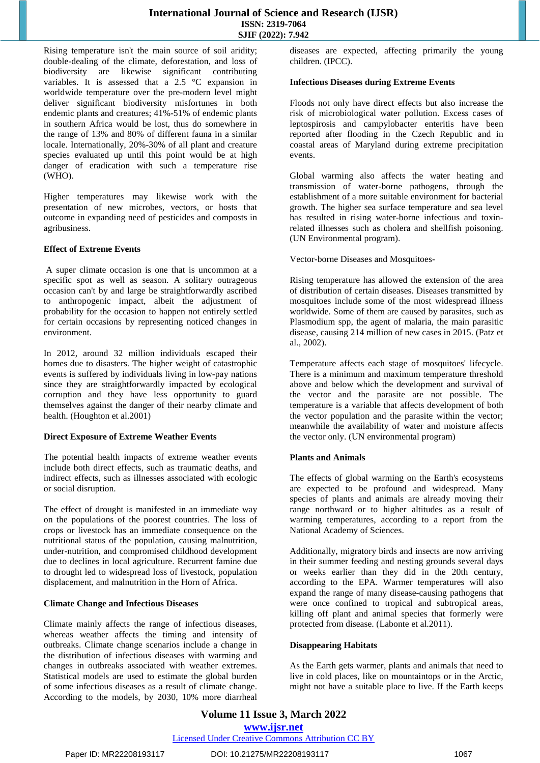Rising temperature isn't the main source of soil aridity; double-dealing of the climate, deforestation, and loss of biodiversity are likewise significant contributing variables. It is assessed that a 2.5 °C expansion in worldwide temperature over the pre-modern level might deliver significant biodiversity misfortunes in both endemic plants and creatures; 41%-51% of endemic plants in southern Africa would be lost, thus do somewhere in the range of 13% and 80% of different fauna in a similar locale. Internationally, 20%-30% of all plant and creature species evaluated up until this point would be at high danger of eradication with such a temperature rise (WHO).

Higher temperatures may likewise work with the presentation of new microbes, vectors, or hosts that outcome in expanding need of pesticides and composts in agribusiness.

#### **Effect of Extreme Events**

A super climate occasion is one that is uncommon at a specific spot as well as season. A solitary outrageous occasion can't by and large be straightforwardly ascribed to anthropogenic impact, albeit the adjustment of probability for the occasion to happen not entirely settled for certain occasions by representing noticed changes in environment.

In 2012, around 32 million individuals escaped their homes due to disasters. The higher weight of catastrophic events is suffered by individuals living in low-pay nations since they are straightforwardly impacted by ecological corruption and they have less opportunity to guard themselves against the danger of their nearby climate and health. (Houghton et al.2001)

#### **Direct Exposure of Extreme Weather Events**

The potential health impacts of extreme weather events include both direct effects, such as traumatic deaths, and indirect effects, such as illnesses associated with ecologic or social disruption.

The effect of drought is manifested in an immediate way on the populations of the poorest countries. The loss of crops or livestock has an immediate consequence on the nutritional status of the population, causing malnutrition, under-nutrition, and compromised childhood development due to declines in local agriculture. Recurrent famine due to drought led to widespread loss of livestock, population displacement, and malnutrition in the Horn of Africa.

#### **Climate Change and Infectious Diseases**

Climate mainly affects the range of infectious diseases, whereas weather affects the timing and intensity of outbreaks. Climate change scenarios include a change in the distribution of infectious diseases with warming and changes in outbreaks associated with weather extremes. Statistical models are used to estimate the global burden of some infectious diseases as a result of climate change. According to the models, by 2030, 10% more diarrheal diseases are expected, affecting primarily the young children. (IPCC).

#### **Infectious Diseases during Extreme Events**

Floods not only have direct effects but also increase the risk of microbiological water pollution. Excess cases of leptospirosis and campylobacter enteritis have been reported after flooding in the Czech Republic and in coastal areas of Maryland during extreme precipitation events.

Global warming also affects the water heating and transmission of water-borne pathogens, through the establishment of a more suitable environment for bacterial growth. The higher sea surface temperature and sea level has resulted in rising water-borne infectious and toxinrelated illnesses such as cholera and shellfish poisoning. (UN Environmental program).

Vector-borne Diseases and Mosquitoes-

Rising temperature has allowed the extension of the area of distribution of certain diseases. Diseases transmitted by mosquitoes include some of the most widespread illness worldwide. Some of them are caused by parasites, such as Plasmodium spp, the agent of malaria, the main parasitic disease, causing 214 million of new cases in 2015. (Patz et al., 2002).

Temperature affects each stage of mosquitoes' lifecycle. There is a minimum and maximum temperature threshold above and below which the development and survival of the vector and the parasite are not possible. The temperature is a variable that affects development of both the vector population and the parasite within the vector; meanwhile the availability of water and moisture affects the vector only. (UN environmental program)

#### **Plants and Animals**

The effects of global warming on the Earth's ecosystems are expected to be profound and widespread. Many species of plants and animals are already moving their range northward or to higher altitudes as a result of warming temperatures, according to a report from the National Academy of Sciences.

Additionally, migratory birds and insects are now arriving in their summer feeding and nesting grounds several days or weeks earlier than they did in the 20th century, according to the EPA. Warmer temperatures will also expand the range of many disease-causing pathogens that were once confined to tropical and subtropical areas, killing off plant and animal species that formerly were protected from disease. (Labonte et al.2011).

#### **Disappearing Habitats**

As the Earth gets warmer, plants and animals that need to live in cold places, like on mountaintops or in the Arctic, might not have a suitable place to live. If the Earth keeps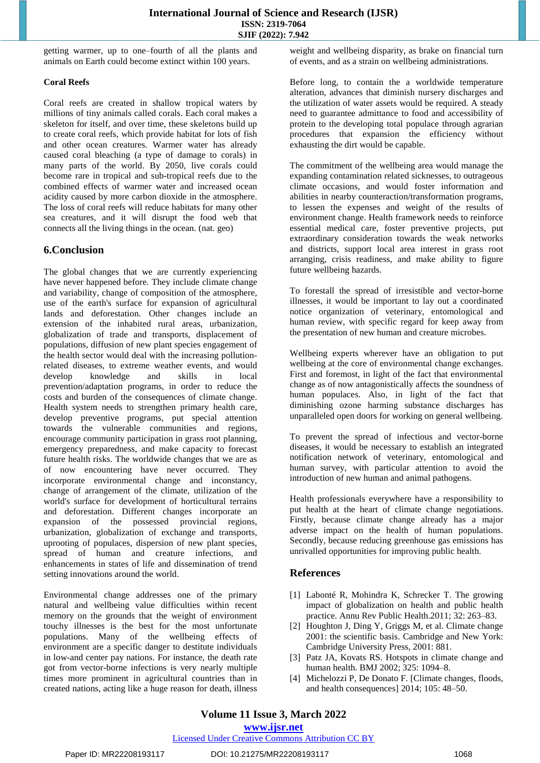getting warmer, up to one–fourth of all the plants and animals on Earth could become extinct within 100 years.

#### **Coral Reefs**

Coral reefs are created in shallow tropical waters by millions of tiny animals called corals. Each coral makes a skeleton for itself, and over time, these skeletons build up to create coral reefs, which provide habitat for lots of fish and other ocean creatures. Warmer water has already caused coral bleaching (a type of damage to corals) in many parts of the world. By 2050, live corals could become rare in tropical and sub-tropical reefs due to the combined effects of warmer water and increased ocean acidity caused by more carbon dioxide in the atmosphere. The loss of coral reefs will reduce habitats for many other sea creatures, and it will disrupt the food web that connects all the living things in the ocean. (nat. geo)

# **6.Conclusion**

The global changes that we are currently experiencing have never happened before. They include climate change and variability, change of composition of the atmosphere, use of the earth's surface for expansion of agricultural lands and deforestation. Other changes include an extension of the inhabited rural areas, urbanization, globalization of trade and transports, displacement of populations, diffusion of new plant species engagement of the health sector would deal with the increasing pollutionrelated diseases, to extreme weather events, and would develop knowledge and skills in local prevention/adaptation programs, in order to reduce the costs and burden of the consequences of climate change. Health system needs to strengthen primary health care, develop preventive programs, put special attention towards the vulnerable communities and regions, encourage community participation in grass root planning, emergency preparedness, and make capacity to forecast future health risks. The worldwide changes that we are as of now encountering have never occurred. They incorporate environmental change and inconstancy, change of arrangement of the climate, utilization of the world's surface for development of horticultural terrains and deforestation. Different changes incorporate an expansion of the possessed provincial regions, urbanization, globalization of exchange and transports, uprooting of populaces, dispersion of new plant species, spread of human and creature infections, and enhancements in states of life and dissemination of trend setting innovations around the world.

Environmental change addresses one of the primary natural and wellbeing value difficulties within recent memory on the grounds that the weight of environment touchy illnesses is the best for the most unfortunate populations. Many of the wellbeing effects of environment are a specific danger to destitute individuals in low-and center pay nations. For instance, the death rate got from vector-borne infections is very nearly multiple times more prominent in agricultural countries than in created nations, acting like a huge reason for death, illness weight and wellbeing disparity, as brake on financial turn of events, and as a strain on wellbeing administrations.

Before long, to contain the a worldwide temperature alteration, advances that diminish nursery discharges and the utilization of water assets would be required. A steady need to guarantee admittance to food and accessibility of protein to the developing total populace through agrarian procedures that expansion the efficiency without exhausting the dirt would be capable.

The commitment of the wellbeing area would manage the expanding contamination related sicknesses, to outrageous climate occasions, and would foster information and abilities in nearby counteraction/transformation programs, to lessen the expenses and weight of the results of environment change. Health framework needs to reinforce essential medical care, foster preventive projects, put extraordinary consideration towards the weak networks and districts, support local area interest in grass root arranging, crisis readiness, and make ability to figure future wellbeing hazards.

To forestall the spread of irresistible and vector-borne illnesses, it would be important to lay out a coordinated notice organization of veterinary, entomological and human review, with specific regard for keep away from the presentation of new human and creature microbes.

Wellbeing experts wherever have an obligation to put wellbeing at the core of environmental change exchanges. First and foremost, in light of the fact that environmental change as of now antagonistically affects the soundness of human populaces. Also, in light of the fact that diminishing ozone harming substance discharges has unparalleled open doors for working on general wellbeing.

To prevent the spread of infectious and vector-borne diseases, it would be necessary to establish an integrated notification network of veterinary, entomological and human survey, with particular attention to avoid the introduction of new human and animal pathogens.

Health professionals everywhere have a responsibility to put health at the heart of climate change negotiations. Firstly, because climate change already has a major adverse impact on the health of human populations. Secondly, because reducing greenhouse gas emissions has unrivalled opportunities for improving public health.

# **References**

- [1] Labonté R, Mohindra K, Schrecker T. The growing impact of globalization on health and public health practice. Annu Rev Public Health.2011; 32: 263–83.
- [2] Houghton J, Ding Y, Griggs M, et al. Climate change 2001: the scientific basis. Cambridge and New York: Cambridge University Press, 2001: 881.
- [3] Patz JA, Kovats RS. Hotspots in climate change and human health. BMJ 2002; 325: 1094–8.
- [4] Michelozzi P, De Donato F. [Climate changes, floods, and health consequences] 2014; 105: 48–50.

**www.ijsr.net**

## Licensed Under Creative Commons Attribution CC BY